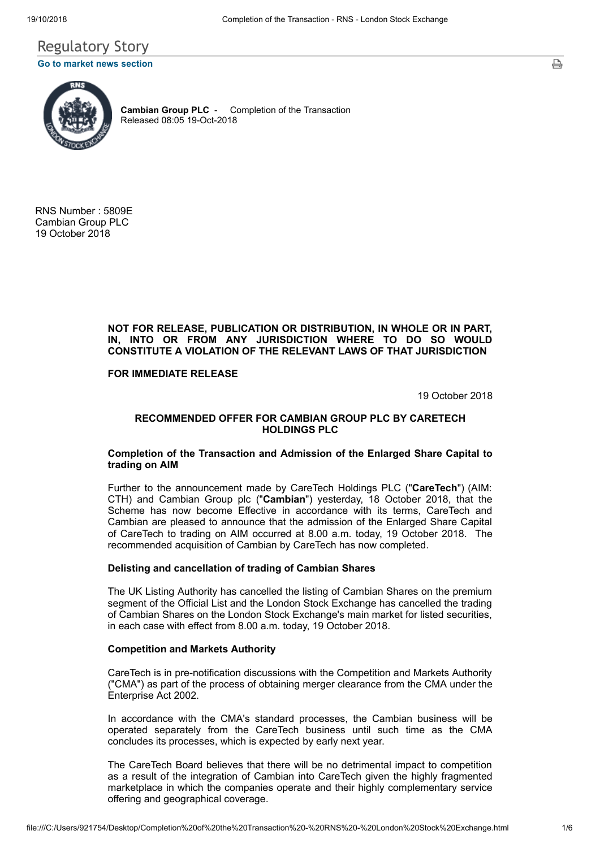# Regulatory Story **[Go to market news section](javascript: sendto()**



**Cambian Group PLC** - Completion of the Transaction Released 08:05 19-Oct-2018

RNS Number : 5809E Cambian Group PLC 19 October 2018

## **NOT FOR RELEASE, PUBLICATION OR DISTRIBUTION, IN WHOLE OR IN PART, IN, INTO OR FROM ANY JURISDICTION WHERE TO DO SO WOULD CONSTITUTE A VIOLATION OF THE RELEVANT LAWS OF THAT JURISDICTION**

**FOR IMMEDIATE RELEASE**

19 October 2018

## **RECOMMENDED OFFER FOR CAMBIAN GROUP PLC BY CARETECH HOLDINGS PLC**

## **Completion of the Transaction and Admission of the Enlarged Share Capital to trading on AIM**

Further to the announcement made by CareTech Holdings PLC ("**CareTech**") (AIM: CTH) and Cambian Group plc ("**Cambian**") yesterday, 18 October 2018, that the Scheme has now become Effective in accordance with its terms, CareTech and Cambian are pleased to announce that the admission of the Enlarged Share Capital of CareTech to trading on AIM occurred at 8.00 a.m. today, 19 October 2018. The recommended acquisition of Cambian by CareTech has now completed.

## **Delisting and cancellation of trading of Cambian Shares**

The UK Listing Authority has cancelled the listing of Cambian Shares on the premium segment of the Official List and the London Stock Exchange has cancelled the trading of Cambian Shares on the London Stock Exchange's main market for listed securities, in each case with effect from 8.00 a.m. today, 19 October 2018.

#### **Competition and Markets Authority**

CareTech is in pre-notification discussions with the Competition and Markets Authority ("CMA") as part of the process of obtaining merger clearance from the CMA under the Enterprise Act 2002.

In accordance with the CMA's standard processes, the Cambian business will be operated separately from the CareTech business until such time as the CMA concludes its processes, which is expected by early next year.

The CareTech Board believes that there will be no detrimental impact to competition as a result of the integration of Cambian into CareTech given the highly fragmented marketplace in which the companies operate and their highly complementary service offering and geographical coverage.

ᇢ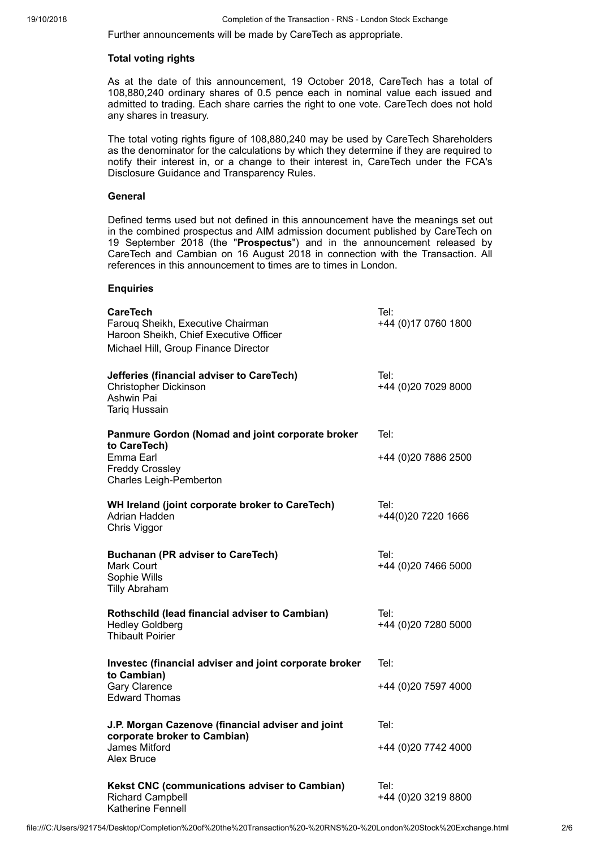Further announcements will be made by CareTech as appropriate.

# **Total voting rights**

As at the date of this announcement, 19 October 2018, CareTech has a total of 108,880,240 ordinary shares of 0.5 pence each in nominal value each issued and admitted to trading. Each share carries the right to one vote. CareTech does not hold any shares in treasury.

The total voting rights figure of 108,880,240 may be used by CareTech Shareholders as the denominator for the calculations by which they determine if they are required to notify their interest in, or a change to their interest in, CareTech under the FCA's Disclosure Guidance and Transparency Rules.

# **General**

Defined terms used but not defined in this announcement have the meanings set out in the combined prospectus and AIM admission document published by CareTech on 19 September 2018 (the "**Prospectus**") and in the announcement released by CareTech and Cambian on 16 August 2018 in connection with the Transaction. All references in this announcement to times are to times in London.

## **Enquiries**

| <b>CareTech</b><br>Farouq Sheikh, Executive Chairman<br>Haroon Sheikh, Chief Executive Officer<br>Michael Hill, Group Finance Director | Tel:<br>+44 (0)17 0760 1800 |
|----------------------------------------------------------------------------------------------------------------------------------------|-----------------------------|
| Jefferies (financial adviser to CareTech)<br><b>Christopher Dickinson</b><br>Ashwin Pai<br><b>Tariq Hussain</b>                        | Tel:<br>+44 (0)20 7029 8000 |
| Panmure Gordon (Nomad and joint corporate broker<br>to CareTech)                                                                       | Tel:                        |
| Emma Earl<br><b>Freddy Crossley</b><br><b>Charles Leigh-Pemberton</b>                                                                  | +44 (0)20 7886 2500         |
| WH Ireland (joint corporate broker to CareTech)<br>Adrian Hadden<br>Chris Viggor                                                       | Tel:<br>+44(0)20 7220 1666  |
| <b>Buchanan (PR adviser to CareTech)</b><br><b>Mark Court</b><br>Sophie Wills<br><b>Tilly Abraham</b>                                  | Tel:<br>+44 (0)20 7466 5000 |
| Rothschild (lead financial adviser to Cambian)<br><b>Hedley Goldberg</b><br><b>Thibault Poirier</b>                                    | Tel:<br>+44 (0)20 7280 5000 |
| Investec (financial adviser and joint corporate broker                                                                                 | Tel:                        |
| to Cambian)<br><b>Gary Clarence</b><br><b>Edward Thomas</b>                                                                            | +44 (0)20 7597 4000         |
| J.P. Morgan Cazenove (financial adviser and joint                                                                                      | Tel:                        |
| corporate broker to Cambian)<br>James Mitford<br>Alex Bruce                                                                            | +44 (0)20 7742 4000         |
| Kekst CNC (communications adviser to Cambian)<br><b>Richard Campbell</b><br>Katherine Fennell                                          | Tel:<br>+44 (0)20 3219 8800 |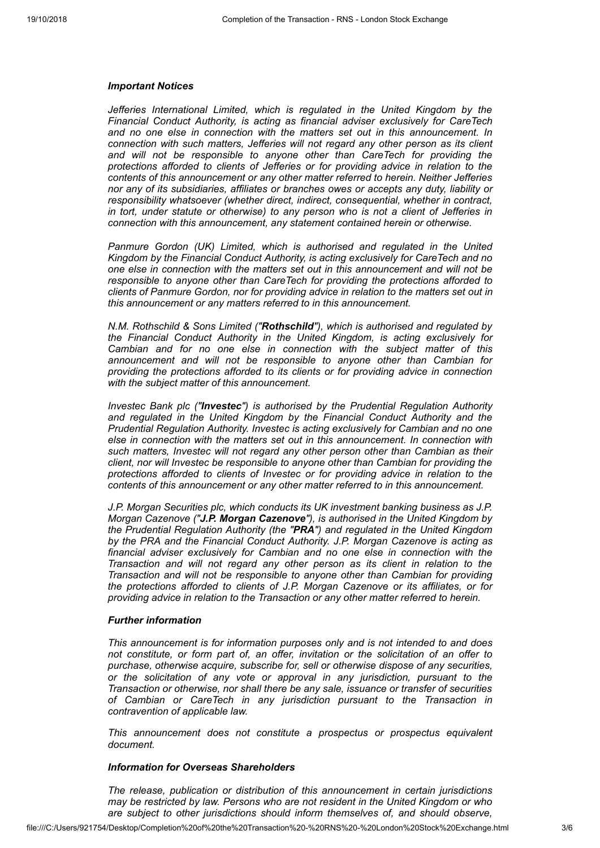#### *Important Notices*

*Jefferies International Limited, which is regulated in the United Kingdom by the Financial Conduct Authority, is acting as financial adviser exclusively for CareTech and no one else in connection with the matters set out in this announcement. In connection with such matters, Jefferies will not regard any other person as its client and will not be responsible to anyone other than CareTech for providing the protections afforded to clients of Jefferies or for providing advice in relation to the contents of this announcement or any other matter referred to herein. Neither Jefferies nor any of its subsidiaries, affiliates or branches owes or accepts any duty, liability or responsibility whatsoever (whether direct, indirect, consequential, whether in contract, in tort, under statute or otherwise) to any person who is not a client of Jefferies in connection with this announcement, any statement contained herein or otherwise.*

*Panmure Gordon (UK) Limited, which is authorised and regulated in the United Kingdom by the Financial Conduct Authority, is acting exclusively for CareTech and no one else in connection with the matters set out in this announcement and will not be responsible to anyone other than CareTech for providing the protections afforded to clients of Panmure Gordon, nor for providing advice in relation to the matters set out in this announcement or any matters referred to in this announcement.*

*N.M. Rothschild & Sons Limited ("Rothschild"), which is authorised and regulated by the Financial Conduct Authority in the United Kingdom, is acting exclusively for Cambian and for no one else in connection with the subject matter of this announcement and will not be responsible to anyone other than Cambian for providing the protections afforded to its clients or for providing advice in connection with the subject matter of this announcement.*

*Investec Bank plc ("Investec") is authorised by the Prudential Regulation Authority and regulated in the United Kingdom by the Financial Conduct Authority and the Prudential Regulation Authority. Investec is acting exclusively for Cambian and no one else in connection with the matters set out in this announcement. In connection with such matters, Investec will not regard any other person other than Cambian as their client, nor will Investec be responsible to anyone other than Cambian for providing the protections afforded to clients of Investec or for providing advice in relation to the contents of this announcement or any other matter referred to in this announcement.*

*J.P. Morgan Securities plc, which conducts its UK investment banking business as J.P. Morgan Cazenove ("J.P. Morgan Cazenove"), is authorised in the United Kingdom by the Prudential Regulation Authority (the "PRA") and regulated in the United Kingdom by the PRA and the Financial Conduct Authority. J.P. Morgan Cazenove is acting as financial adviser exclusively for Cambian and no one else in connection with the Transaction and will not regard any other person as its client in relation to the Transaction and will not be responsible to anyone other than Cambian for providing the protections afforded to clients of J.P. Morgan Cazenove or its affiliates, or for providing advice in relation to the Transaction or any other matter referred to herein.*

#### *Further information*

*This announcement is for information purposes only and is not intended to and does not constitute, or form part of, an offer, invitation or the solicitation of an offer to purchase, otherwise acquire, subscribe for, sell or otherwise dispose of any securities, or the solicitation of any vote or approval in any jurisdiction, pursuant to the Transaction or otherwise, nor shall there be any sale, issuance or transfer of securities of Cambian or CareTech in any jurisdiction pursuant to the Transaction in contravention of applicable law.*

*This announcement does not constitute a prospectus or prospectus equivalent document.*

# *Information for Overseas Shareholders*

*The release, publication or distribution of this announcement in certain jurisdictions may be restricted by law. Persons who are not resident in the United Kingdom or who are subject to other jurisdictions should inform themselves of, and should observe,*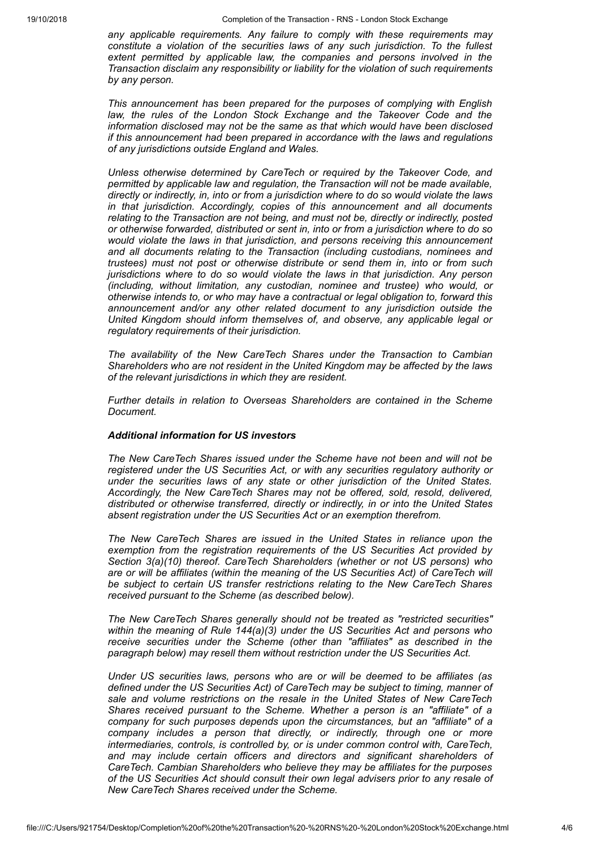*any applicable requirements. Any failure to comply with these requirements may constitute a violation of the securities laws of any such jurisdiction. To the fullest extent permitted by applicable law, the companies and persons involved in the Transaction disclaim any responsibility or liability for the violation of such requirements by any person.*

*This announcement has been prepared for the purposes of complying with English law, the rules of the London Stock Exchange and the Takeover Code and the information disclosed may not be the same as that which would have been disclosed if this announcement had been prepared in accordance with the laws and regulations of any jurisdictions outside England and Wales.*

*Unless otherwise determined by CareTech or required by the Takeover Code, and permitted by applicable law and regulation, the Transaction will not be made available, directly or indirectly, in, into or from a jurisdiction where to do so would violate the laws in that jurisdiction. Accordingly, copies of this announcement and all documents relating to the Transaction are not being, and must not be, directly or indirectly, posted or otherwise forwarded, distributed or sent in, into or from a jurisdiction where to do so would violate the laws in that jurisdiction, and persons receiving this announcement and all documents relating to the Transaction (including custodians, nominees and trustees) must not post or otherwise distribute or send them in, into or from such jurisdictions where to do so would violate the laws in that jurisdiction. Any person (including, without limitation, any custodian, nominee and trustee) who would, or otherwise intends to, or who may have a contractual or legal obligation to, forward this announcement and/or any other related document to any jurisdiction outside the United Kingdom should inform themselves of, and observe, any applicable legal or regulatory requirements of their jurisdiction.*

*The availability of the New CareTech Shares under the Transaction to Cambian Shareholders who are not resident in the United Kingdom may be affected by the laws of the relevant jurisdictions in which they are resident.*

*Further details in relation to Overseas Shareholders are contained in the Scheme Document.*

#### *Additional information for US investors*

*The New CareTech Shares issued under the Scheme have not been and will not be registered under the US Securities Act, or with any securities regulatory authority or under the securities laws of any state or other jurisdiction of the United States. Accordingly, the New CareTech Shares may not be offered, sold, resold, delivered, distributed or otherwise transferred, directly or indirectly, in or into the United States absent registration under the US Securities Act or an exemption therefrom.*

*The New CareTech Shares are issued in the United States in reliance upon the exemption from the registration requirements of the US Securities Act provided by Section 3(a)(10) thereof. CareTech Shareholders (whether or not US persons) who are or will be affiliates (within the meaning of the US Securities Act) of CareTech will be subject to certain US transfer restrictions relating to the New CareTech Shares received pursuant to the Scheme (as described below).*

*The New CareTech Shares generally should not be treated as "restricted securities" within the meaning of Rule 144(a)(3) under the US Securities Act and persons who receive securities under the Scheme (other than "affiliates" as described in the paragraph below) may resell them without restriction under the US Securities Act.*

*Under US securities laws, persons who are or will be deemed to be affiliates (as defined under the US Securities Act) of CareTech may be subject to timing, manner of sale and volume restrictions on the resale in the United States of New CareTech Shares received pursuant to the Scheme. Whether a person is an "affiliate" of a company for such purposes depends upon the circumstances, but an "affiliate" of a company includes a person that directly, or indirectly, through one or more intermediaries, controls, is controlled by, or is under common control with, CareTech, and may include certain officers and directors and significant shareholders of CareTech. Cambian Shareholders who believe they may be affiliates for the purposes of the US Securities Act should consult their own legal advisers prior to any resale of New CareTech Shares received under the Scheme.*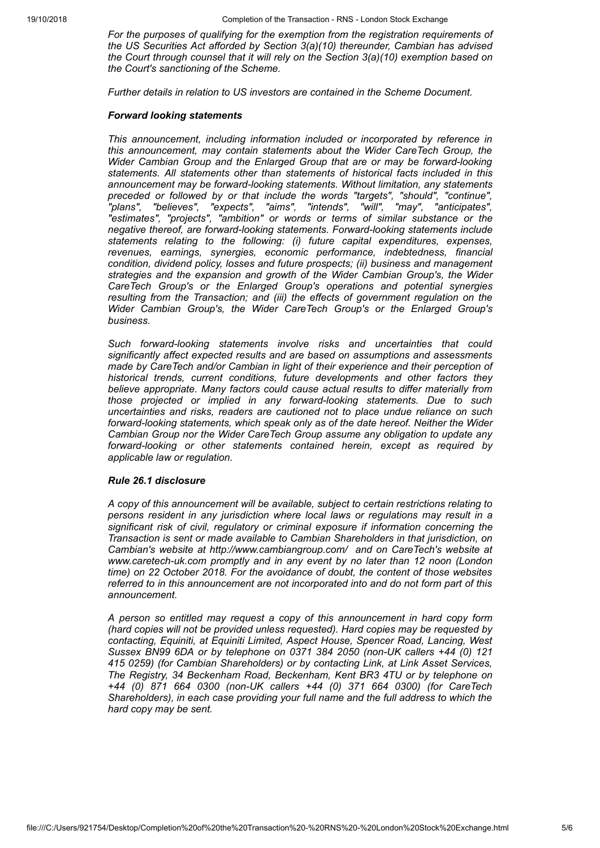*For the purposes of qualifying for the exemption from the registration requirements of the US Securities Act afforded by Section 3(a)(10) thereunder, Cambian has advised the Court through counsel that it will rely on the Section 3(a)(10) exemption based on the Court's sanctioning of the Scheme.*

*Further details in relation to US investors are contained in the Scheme Document.*

#### *Forward looking statements*

*This announcement, including information included or incorporated by reference in this announcement, may contain statements about the Wider CareTech Group, the Wider Cambian Group and the Enlarged Group that are or may be forward-looking statements. All statements other than statements of historical facts included in this announcement may be forward-looking statements. Without limitation, any statements preceded or followed by or that include the words "targets", "should", "continue", "plans", "believes", "expects", "aims", "intends", "will", "may", "anticipates", "estimates", "projects", "ambition" or words or terms of similar substance or the negative thereof, are forward-looking statements. Forward-looking statements include statements relating to the following: (i) future capital expenditures, expenses, revenues, earnings, synergies, economic performance, indebtedness, financial condition, dividend policy, losses and future prospects; (ii) business and management strategies and the expansion and growth of the Wider Cambian Group's, the Wider CareTech Group's or the Enlarged Group's operations and potential synergies resulting from the Transaction; and (iii) the effects of government regulation on the Wider Cambian Group's, the Wider CareTech Group's or the Enlarged Group's business.*

*Such forward-looking statements involve risks and uncertainties that could significantly affect expected results and are based on assumptions and assessments made by CareTech and/or Cambian in light of their experience and their perception of historical trends, current conditions, future developments and other factors they believe appropriate. Many factors could cause actual results to differ materially from those projected or implied in any forward-looking statements. Due to such uncertainties and risks, readers are cautioned not to place undue reliance on such forward-looking statements, which speak only as of the date hereof. Neither the Wider Cambian Group nor the Wider CareTech Group assume any obligation to update any forward-looking or other statements contained herein, except as required by applicable law or regulation.*

#### *Rule 26.1 disclosure*

*A copy of this announcement will be available, subject to certain restrictions relating to persons resident in any jurisdiction where local laws or regulations may result in a significant risk of civil, regulatory or criminal exposure if information concerning the Transaction is sent or made available to Cambian Shareholders in that jurisdiction, on Cambian's website at http://www.cambiangroup.com/ and on CareTech's website at www.caretech-uk.com promptly and in any event by no later than 12 noon (London time) on 22 October 2018. For the avoidance of doubt, the content of those websites referred to in this announcement are not incorporated into and do not form part of this announcement.*

*A person so entitled may request a copy of this announcement in hard copy form (hard copies will not be provided unless requested). Hard copies may be requested by contacting, Equiniti, at Equiniti Limited, Aspect House, Spencer Road, Lancing, West Sussex BN99 6DA or by telephone on 0371 384 2050 (non-UK callers +44 (0) 121 415 0259) (for Cambian Shareholders) or by contacting Link, at Link Asset Services, The Registry, 34 Beckenham Road, Beckenham, Kent BR3 4TU or by telephone on +44 (0) 871 664 0300 (non-UK callers +44 (0) 371 664 0300) (for CareTech Shareholders), in each case providing your full name and the full address to which the hard copy may be sent.*